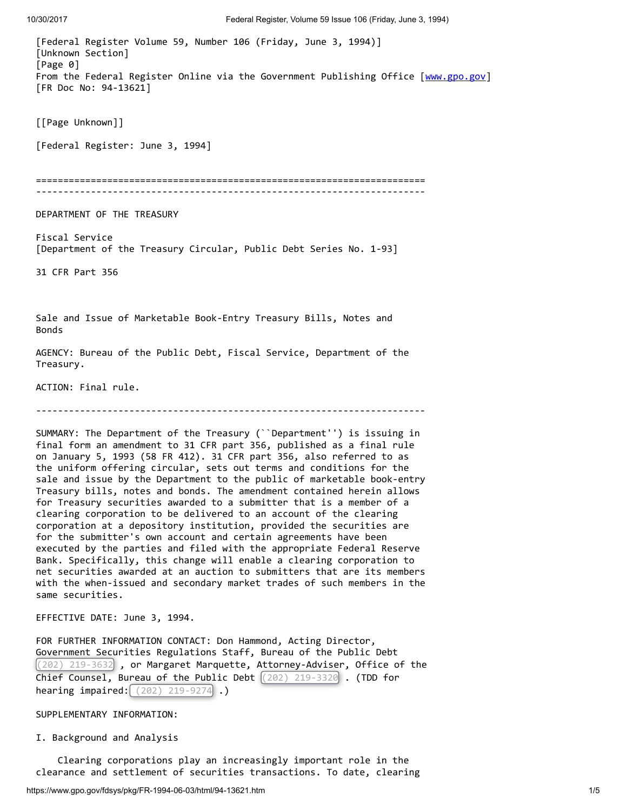[Federal Register Volume 59, Number 106 (Friday, June 3, 1994)] [Unknown Section] [Page 0] From the Federal Register Online via the Government Publishing Office [\[www.gpo.gov](http://www.gpo.gov/)] [FR Doc No: 94-13621] [[Page Unknown]] [Federal Register: June 3, 1994] ======================================================================= ----------------------------------------------------------------------- DEPARTMENT OF THE TREASURY Fiscal Service [Department of the Treasury Circular, Public Debt Series No. 1-93] 31 CFR Part 356 Sale and Issue of Marketable Book-Entry Treasury Bills, Notes and Bonds AGENCY: Bureau of the Public Debt, Fiscal Service, Department of the Treasury. ACTION: Final rule. ----------------------------------------------------------------------- SUMMARY: The Department of the Treasury (``Department'') is issuing in final form an amendment to 31 CFR part 356, published as a final rule on January 5, 1993 (58 FR 412). 31 CFR part 356, also referred to as the uniform offering circular, sets out terms and conditions for the sale and issue by the Department to the public of marketable book-entry Treasury bills, notes and bonds. The amendment contained herein allows for Treasury securities awarded to a submitter that is a member of a clearing corporation to be delivered to an account of the clearing corporation at a depository institution, provided the securities are for the submitter's own account and certain agreements have been executed by the parties and filed with the appropriate Federal Reserve Bank. Specifically, this change will enable a clearing corporation to net securities awarded at an auction to submitters that are its members with the when-issued and secondary market trades of such members in the same securities. EFFECTIVE DATE: June 3, 1994. FOR FURTHER INFORMATION CONTACT: Don Hammond, Acting Director, Government Securities Regulations Staff, Bureau of the Public Debt (202) 219-3632 , or Margaret Marquette, Attorney-Adviser, Office of the Chief Counsel, Bureau of the Public Debt (202) 219-3320 . (TDD for **hearing impaired:**  $(202)$  219-9274 .)

## SUPPLEMENTARY INFORMATION:

I. Background and Analysis

 Clearing corporations play an increasingly important role in the clearance and settlement of securities transactions. To date, clearing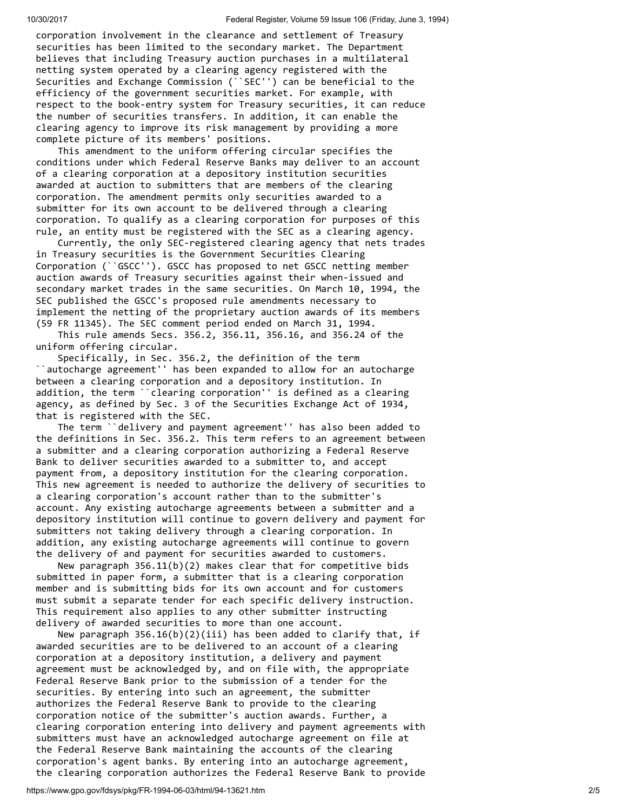corporation involvement in the clearance and settlement of Treasury securities has been limited to the secondary market. The Department believes that including Treasury auction purchases in a multilateral netting system operated by a clearing agency registered with the Securities and Exchange Commission (``SEC'') can be beneficial to the efficiency of the government securities market. For example, with respect to the book-entry system for Treasury securities, it can reduce the number of securities transfers. In addition, it can enable the clearing agency to improve its risk management by providing a more complete picture of its members' positions.

 This amendment to the uniform offering circular specifies the conditions under which Federal Reserve Banks may deliver to an account of a clearing corporation at a depository institution securities awarded at auction to submitters that are members of the clearing corporation. The amendment permits only securities awarded to a submitter for its own account to be delivered through a clearing corporation. To qualify as a clearing corporation for purposes of this rule, an entity must be registered with the SEC as a clearing agency.

 Currently, the only SEC-registered clearing agency that nets trades in Treasury securities is the Government Securities Clearing Corporation (``GSCC''). GSCC has proposed to net GSCC netting member auction awards of Treasury securities against their when-issued and secondary market trades in the same securities. On March 10, 1994, the SEC published the GSCC's proposed rule amendments necessary to implement the netting of the proprietary auction awards of its members (59 FR 11345). The SEC comment period ended on March 31, 1994.

 This rule amends Secs. 356.2, 356.11, 356.16, and 356.24 of the uniform offering circular.

 Specifically, in Sec. 356.2, the definition of the term ``autocharge agreement'' has been expanded to allow for an autocharge between a clearing corporation and a depository institution. In addition, the term ``clearing corporation'' is defined as a clearing agency, as defined by Sec. 3 of the Securities Exchange Act of 1934, that is registered with the SEC.

 The term ``delivery and payment agreement'' has also been added to the definitions in Sec. 356.2. This term refers to an agreement between a submitter and a clearing corporation authorizing a Federal Reserve Bank to deliver securities awarded to a submitter to, and accept payment from, a depository institution for the clearing corporation. This new agreement is needed to authorize the delivery of securities to a clearing corporation's account rather than to the submitter's account. Any existing autocharge agreements between a submitter and a depository institution will continue to govern delivery and payment for submitters not taking delivery through a clearing corporation. In addition, any existing autocharge agreements will continue to govern the delivery of and payment for securities awarded to customers.

 New paragraph 356.11(b)(2) makes clear that for competitive bids submitted in paper form, a submitter that is a clearing corporation member and is submitting bids for its own account and for customers must submit a separate tender for each specific delivery instruction. This requirement also applies to any other submitter instructing delivery of awarded securities to more than one account.

New paragraph  $356.16(b)(2)(iii)$  has been added to clarify that, if awarded securities are to be delivered to an account of a clearing corporation at a depository institution, a delivery and payment agreement must be acknowledged by, and on file with, the appropriate Federal Reserve Bank prior to the submission of a tender for the securities. By entering into such an agreement, the submitter authorizes the Federal Reserve Bank to provide to the clearing corporation notice of the submitter's auction awards. Further, a clearing corporation entering into delivery and payment agreements with submitters must have an acknowledged autocharge agreement on file at the Federal Reserve Bank maintaining the accounts of the clearing corporation's agent banks. By entering into an autocharge agreement, the clearing corporation authorizes the Federal Reserve Bank to provide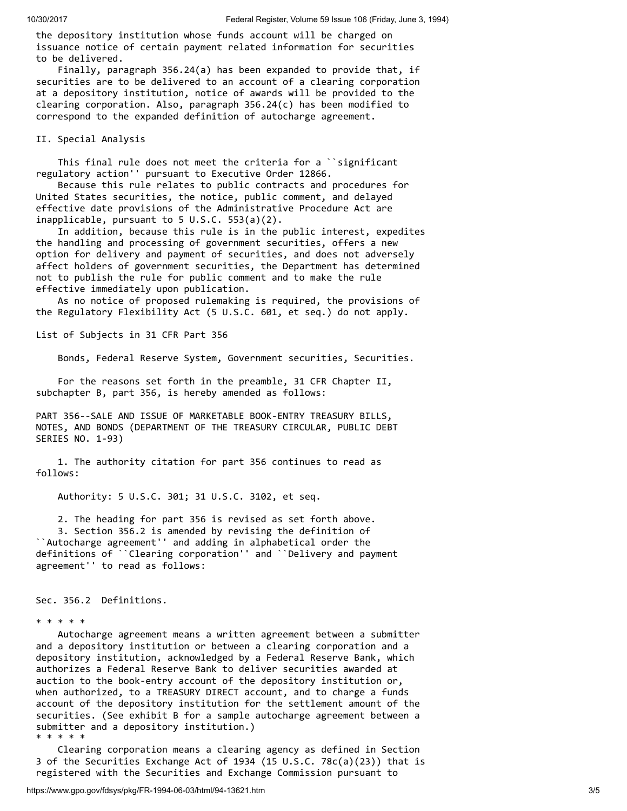the depository institution whose funds account will be charged on issuance notice of certain payment related information for securities to be delivered.

 Finally, paragraph 356.24(a) has been expanded to provide that, if securities are to be delivered to an account of a clearing corporation at a depository institution, notice of awards will be provided to the clearing corporation. Also, paragraph  $356.24(c)$  has been modified to correspond to the expanded definition of autocharge agreement.

## II. Special Analysis

 This final rule does not meet the criteria for a ``significant regulatory action'' pursuant to Executive Order 12866.

 Because this rule relates to public contracts and procedures for United States securities, the notice, public comment, and delayed effective date provisions of the Administrative Procedure Act are inapplicable, pursuant to 5 U.S.C. 553(a)(2).

 In addition, because this rule is in the public interest, expedites the handling and processing of government securities, offers a new option for delivery and payment of securities, and does not adversely affect holders of government securities, the Department has determined not to publish the rule for public comment and to make the rule effective immediately upon publication.

 As no notice of proposed rulemaking is required, the provisions of the Regulatory Flexibility Act (5 U.S.C. 601, et seq.) do not apply.

List of Subjects in 31 CFR Part 356

Bonds, Federal Reserve System, Government securities, Securities.

 For the reasons set forth in the preamble, 31 CFR Chapter II, subchapter B, part 356, is hereby amended as follows:

PART 356--SALE AND ISSUE OF MARKETABLE BOOK-ENTRY TREASURY BILLS, NOTES, AND BONDS (DEPARTMENT OF THE TREASURY CIRCULAR, PUBLIC DEBT SERIES NO. 1-93)

 1. The authority citation for part 356 continues to read as follows:

Authority: 5 U.S.C. 301; 31 U.S.C. 3102, et seq.

2. The heading for part 356 is revised as set forth above.

 3. Section 356.2 is amended by revising the definition of ``Autocharge agreement'' and adding in alphabetical order the definitions of ``Clearing corporation'' and ``Delivery and payment agreement'' to read as follows:

Sec. 356.2 Definitions.

 Autocharge agreement means a written agreement between a submitter and a depository institution or between a clearing corporation and a depository institution, acknowledged by a Federal Reserve Bank, which authorizes a Federal Reserve Bank to deliver securities awarded at auction to the book-entry account of the depository institution or, when authorized, to a TREASURY DIRECT account, and to charge a funds account of the depository institution for the settlement amount of the securities. (See exhibit B for a sample autocharge agreement between a submitter and a depository institution.) \* \* \* \* \*

 Clearing corporation means a clearing agency as defined in Section 3 of the Securities Exchange Act of 1934 (15 U.S.C. 78c(a)(23)) that is registered with the Securities and Exchange Commission pursuant to

<sup>\* \* \* \* \*</sup>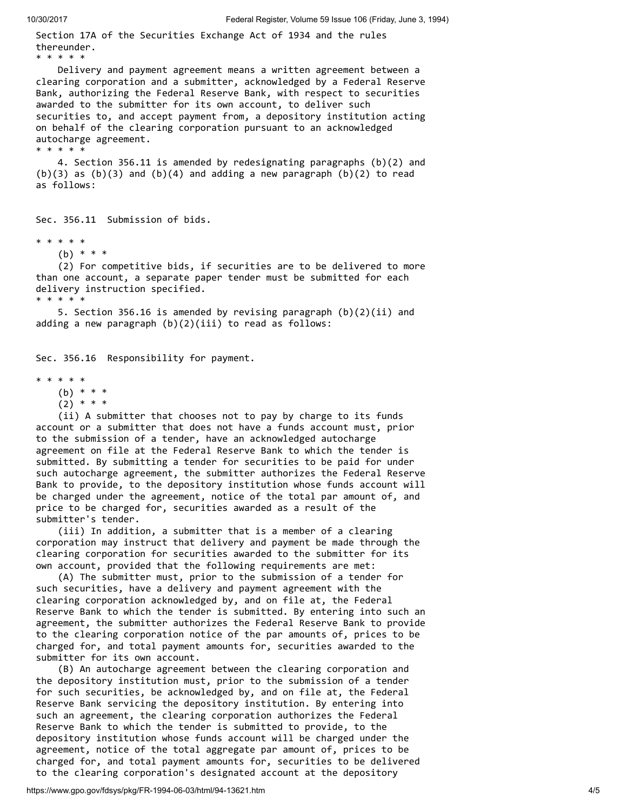Section 17A of the Securities Exchange Act of 1934 and the rules thereunder. \* \* \* \* \* Delivery and payment agreement means a written agreement between a clearing corporation and a submitter, acknowledged by a Federal Reserve Bank, authorizing the Federal Reserve Bank, with respect to securities awarded to the submitter for its own account, to deliver such securities to, and accept payment from, a depository institution acting on behalf of the clearing corporation pursuant to an acknowledged autocharge agreement. \* \* \* \* \* 4. Section 356.11 is amended by redesignating paragraphs (b)(2) and  $(b)(3)$  as  $(b)(3)$  and  $(b)(4)$  and adding a new paragraph  $(b)(2)$  to read as follows: Sec. 356.11 Submission of bids. \* \* \* \* \*

(b) \* \* \*

 (2) For competitive bids, if securities are to be delivered to more than one account, a separate paper tender must be submitted for each delivery instruction specified. \* \* \* \* \*

 5. Section 356.16 is amended by revising paragraph (b)(2)(ii) and adding a new paragraph  $(b)(2)(iii)$  to read as follows:

Sec. 356.16 Responsibility for payment.

\* \* \* \* \*

(b) \* \* \*

 $(2) * * * *$ 

 (ii) A submitter that chooses not to pay by charge to its funds account or a submitter that does not have a funds account must, prior to the submission of a tender, have an acknowledged autocharge agreement on file at the Federal Reserve Bank to which the tender is submitted. By submitting a tender for securities to be paid for under such autocharge agreement, the submitter authorizes the Federal Reserve Bank to provide, to the depository institution whose funds account will be charged under the agreement, notice of the total par amount of, and price to be charged for, securities awarded as a result of the submitter's tender.

 (iii) In addition, a submitter that is a member of a clearing corporation may instruct that delivery and payment be made through the clearing corporation for securities awarded to the submitter for its own account, provided that the following requirements are met:

 (A) The submitter must, prior to the submission of a tender for such securities, have a delivery and payment agreement with the clearing corporation acknowledged by, and on file at, the Federal Reserve Bank to which the tender is submitted. By entering into such an agreement, the submitter authorizes the Federal Reserve Bank to provide to the clearing corporation notice of the par amounts of, prices to be charged for, and total payment amounts for, securities awarded to the submitter for its own account.

 (B) An autocharge agreement between the clearing corporation and the depository institution must, prior to the submission of a tender for such securities, be acknowledged by, and on file at, the Federal Reserve Bank servicing the depository institution. By entering into such an agreement, the clearing corporation authorizes the Federal Reserve Bank to which the tender is submitted to provide, to the depository institution whose funds account will be charged under the agreement, notice of the total aggregate par amount of, prices to be charged for, and total payment amounts for, securities to be delivered to the clearing corporation's designated account at the depository